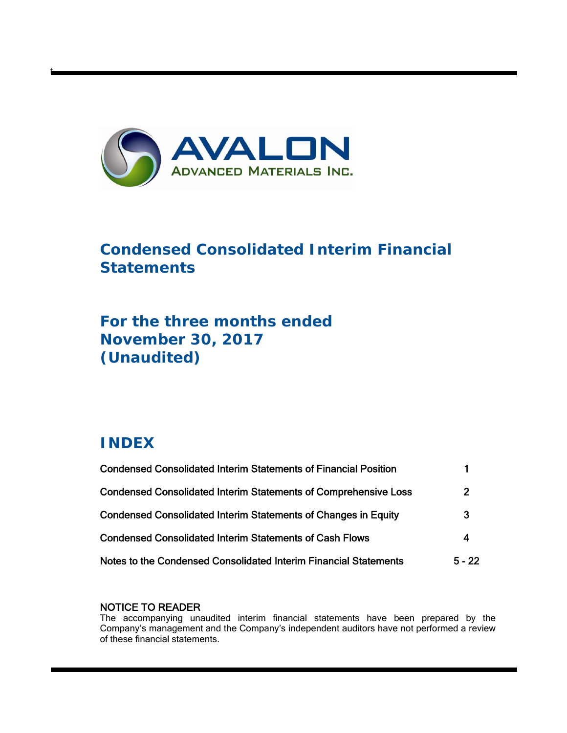

# **Condensed Consolidated Interim Financial Statements**

# **For the three months ended November 30, 2017 (Unaudited)**

# **INDEX**

t

| <b>Condensed Consolidated Interim Statements of Financial Position</b> |          |
|------------------------------------------------------------------------|----------|
| <b>Condensed Consolidated Interim Statements of Comprehensive Loss</b> | 2        |
| Condensed Consolidated Interim Statements of Changes in Equity         | 3        |
| <b>Condensed Consolidated Interim Statements of Cash Flows</b>         | 4        |
| Notes to the Condensed Consolidated Interim Financial Statements       | $5 - 22$ |

# NOTICE TO READER

The accompanying unaudited interim financial statements have been prepared by the Company's management and the Company's independent auditors have not performed a review of these financial statements.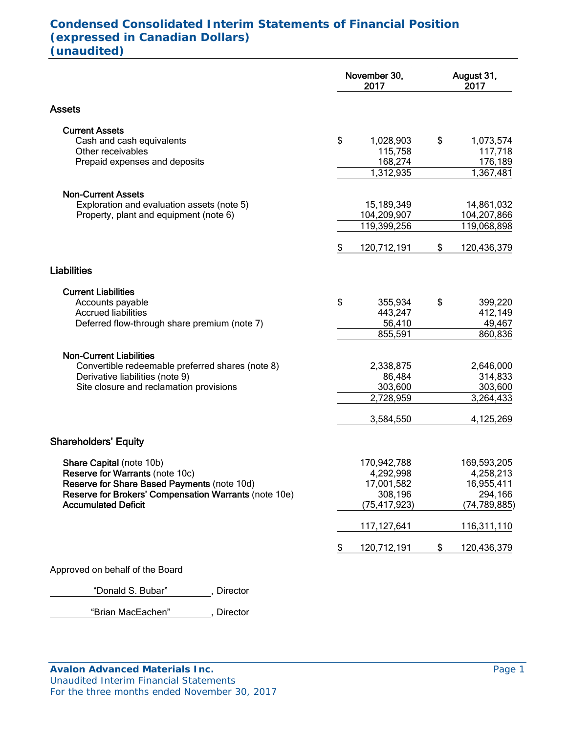# **Condensed Consolidated Interim Statements of Financial Position (expressed in Canadian Dollars) (unaudited)**

|                                                                                     | November 30,<br>2017       | August 31,<br>2017 |                      |  |
|-------------------------------------------------------------------------------------|----------------------------|--------------------|----------------------|--|
| <b>Assets</b>                                                                       |                            |                    |                      |  |
| <b>Current Assets</b>                                                               |                            |                    |                      |  |
| Cash and cash equivalents<br>Other receivables                                      | \$<br>1,028,903<br>115,758 | \$                 | 1,073,574<br>117,718 |  |
| Prepaid expenses and deposits                                                       | 168,274                    |                    | 176,189              |  |
|                                                                                     | 1,312,935                  |                    | 1,367,481            |  |
| <b>Non-Current Assets</b>                                                           |                            |                    |                      |  |
| Exploration and evaluation assets (note 5)                                          | 15,189,349                 |                    | 14,861,032           |  |
| Property, plant and equipment (note 6)                                              | 104,209,907                |                    | 104,207,866          |  |
|                                                                                     | 119,399,256                |                    | 119,068,898          |  |
|                                                                                     | \$<br>120,712,191          | \$                 | 120,436,379          |  |
| <b>Liabilities</b>                                                                  |                            |                    |                      |  |
| <b>Current Liabilities</b>                                                          |                            |                    |                      |  |
| Accounts payable                                                                    | \$<br>355,934              | \$                 | 399,220              |  |
| <b>Accrued liabilities</b>                                                          | 443,247                    |                    | 412,149              |  |
| Deferred flow-through share premium (note 7)                                        | 56,410<br>855,591          |                    | 49,467<br>860,836    |  |
|                                                                                     |                            |                    |                      |  |
| <b>Non-Current Liabilities</b><br>Convertible redeemable preferred shares (note 8)  | 2,338,875                  |                    | 2,646,000            |  |
| Derivative liabilities (note 9)                                                     | 86,484                     |                    | 314,833              |  |
| Site closure and reclamation provisions                                             | 303,600                    |                    | 303,600              |  |
|                                                                                     | 2,728,959                  |                    | 3,264,433            |  |
|                                                                                     | 3,584,550                  |                    | 4,125,269            |  |
| <b>Shareholders' Equity</b>                                                         |                            |                    |                      |  |
| Share Capital (note 10b)                                                            | 170,942,788                |                    | 169,593,205          |  |
| Reserve for Warrants (note 10c)                                                     | 4,292,998                  |                    | 4,258,213            |  |
| Reserve for Share Based Payments (note 10d)                                         | 17,001,582                 |                    | 16,955,411           |  |
| Reserve for Brokers' Compensation Warrants (note 10e)<br><b>Accumulated Deficit</b> | 308,196                    |                    | 294,166              |  |
|                                                                                     | (75, 417, 923)             |                    | (74, 789, 885)       |  |
|                                                                                     | 117,127,641                |                    | 116,311,110          |  |
|                                                                                     | \$<br>120,712,191          | \$                 | 120,436,379          |  |
| Approved on behalf of the Board                                                     |                            |                    |                      |  |

"Donald S. Bubar", Director

"Brian MacEachen" , Director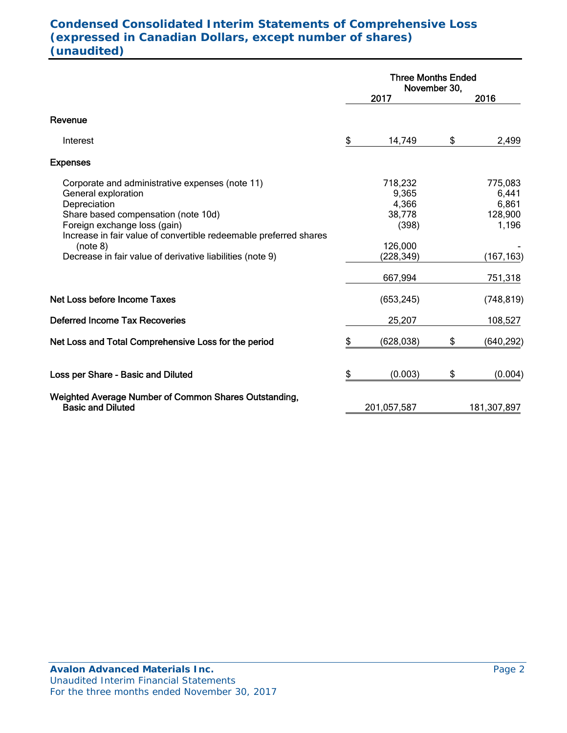# **Condensed Consolidated Interim Statements of Comprehensive Loss (expressed in Canadian Dollars, except number of shares) (unaudited)**

|                                                                                                                                                                                                                                                                                                             | <b>Three Months Ended</b><br>November 30, |                                                                                 |    |                                                                        |
|-------------------------------------------------------------------------------------------------------------------------------------------------------------------------------------------------------------------------------------------------------------------------------------------------------------|-------------------------------------------|---------------------------------------------------------------------------------|----|------------------------------------------------------------------------|
|                                                                                                                                                                                                                                                                                                             |                                           | 2017                                                                            |    | 2016                                                                   |
| Revenue                                                                                                                                                                                                                                                                                                     |                                           |                                                                                 |    |                                                                        |
| Interest                                                                                                                                                                                                                                                                                                    | \$                                        | 14,749                                                                          | \$ | 2,499                                                                  |
| <b>Expenses</b>                                                                                                                                                                                                                                                                                             |                                           |                                                                                 |    |                                                                        |
| Corporate and administrative expenses (note 11)<br>General exploration<br>Depreciation<br>Share based compensation (note 10d)<br>Foreign exchange loss (gain)<br>Increase in fair value of convertible redeemable preferred shares<br>(note 8)<br>Decrease in fair value of derivative liabilities (note 9) |                                           | 718,232<br>9,365<br>4,366<br>38,778<br>(398)<br>126,000<br>(228,349)<br>667,994 |    | 775,083<br>6,441<br>6,861<br>128,900<br>1,196<br>(167, 163)<br>751,318 |
| Net Loss before Income Taxes                                                                                                                                                                                                                                                                                |                                           | (653, 245)                                                                      |    | (748, 819)                                                             |
| <b>Deferred Income Tax Recoveries</b>                                                                                                                                                                                                                                                                       |                                           | 25,207                                                                          |    | 108,527                                                                |
| Net Loss and Total Comprehensive Loss for the period                                                                                                                                                                                                                                                        | \$                                        | (628, 038)                                                                      | \$ | (640, 292)                                                             |
| Loss per Share - Basic and Diluted                                                                                                                                                                                                                                                                          | \$                                        | (0.003)                                                                         | \$ | (0.004)                                                                |
| Weighted Average Number of Common Shares Outstanding,<br><b>Basic and Diluted</b>                                                                                                                                                                                                                           |                                           | 201,057,587                                                                     |    | 181,307,897                                                            |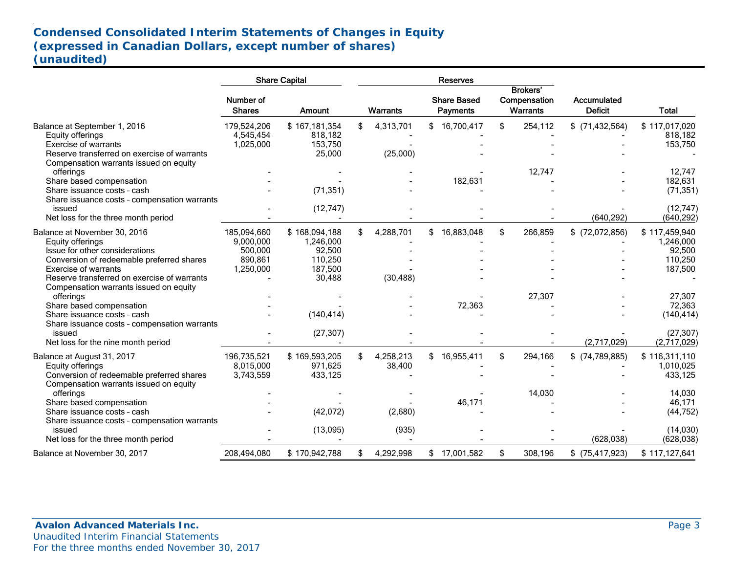# **Condensed Consolidated Interim Statements of Changes in Equity (expressed in Canadian Dollars, except number of shares) (unaudited)**

|                                                                                                                                                                                                                |                                                             | <b>Share Capital</b>                                                 |     |                        | <b>Reserves</b>                       |                                                    |                               |                                                            |
|----------------------------------------------------------------------------------------------------------------------------------------------------------------------------------------------------------------|-------------------------------------------------------------|----------------------------------------------------------------------|-----|------------------------|---------------------------------------|----------------------------------------------------|-------------------------------|------------------------------------------------------------|
|                                                                                                                                                                                                                | Number of<br><b>Shares</b>                                  | <b>Amount</b>                                                        |     | <b>Warrants</b>        | <b>Share Based</b><br><b>Payments</b> | <b>Brokers'</b><br>Compensation<br><b>Warrants</b> | Accumulated<br><b>Deficit</b> | <b>Total</b>                                               |
| Balance at September 1, 2016<br>Equity offerings<br>Exercise of warrants<br>Reserve transferred on exercise of warrants<br>Compensation warrants issued on equity                                              | 179,524,206<br>4,545,454<br>1,025,000                       | \$167,181,354<br>818,182<br>153,750<br>25,000                        | \$  | 4,313,701<br>(25,000)  | \$16,700,417                          | \$<br>254,112                                      | $$$ (71,432,564)              | \$117,017,020<br>818,182<br>153,750                        |
| offerings<br>Share based compensation<br>Share issuance costs - cash<br>Share issuance costs - compensation warrants                                                                                           |                                                             | (71, 351)                                                            |     |                        | 182,631                               | 12,747                                             |                               | 12,747<br>182,631<br>(71, 351)                             |
| issued<br>Net loss for the three month period                                                                                                                                                                  |                                                             | (12, 747)                                                            |     |                        |                                       |                                                    | (640, 292)                    | (12, 747)<br>(640, 292)                                    |
| Balance at November 30, 2016<br>Equity offerings<br>Issue for other considerations<br>Conversion of redeemable preferred shares<br>Exercise of warrants<br>Reserve transferred on exercise of warrants         | 185.094.660<br>9,000,000<br>500,000<br>890,861<br>1,250,000 | \$168,094,188<br>1,246,000<br>92,500<br>110,250<br>187,500<br>30,488 | \$  | 4,288,701<br>(30, 488) | \$<br>16,883,048                      | \$<br>266,859                                      | $$$ (72,072,856)              | \$117,459,940<br>1,246,000<br>92,500<br>110,250<br>187,500 |
| Compensation warrants issued on equity<br>offerings<br>Share based compensation<br>Share issuance costs - cash<br>Share issuance costs - compensation warrants<br>issued<br>Net loss for the nine month period |                                                             | (140, 414)<br>(27, 307)                                              |     |                        | 72,363                                | 27,307                                             | (2,717,029)                   | 27,307<br>72,363<br>(140, 414)<br>(27, 307)<br>(2,717,029) |
| Balance at August 31, 2017<br>Equity offerings<br>Conversion of redeemable preferred shares<br>Compensation warrants issued on equity                                                                          | 196,735,521<br>8,015,000<br>3,743,559                       | \$169,593,205<br>971.625<br>433,125                                  | \$. | 4,258,213<br>38,400    | \$16,955,411                          | \$<br>294,166                                      | $$$ (74,789,885)              | \$116,311,110<br>1,010,025<br>433,125                      |
| offerings<br>Share based compensation<br>Share issuance costs - cash<br>Share issuance costs - compensation warrants                                                                                           |                                                             | (42,072)                                                             |     | (2,680)                | 46,171                                | 14,030                                             |                               | 14,030<br>46,171<br>(44, 752)                              |
| issued<br>Net loss for the three month period                                                                                                                                                                  |                                                             | (13,095)                                                             |     | (935)                  |                                       |                                                    | (628, 038)                    | (14, 030)<br>(628, 038)                                    |
| Balance at November 30, 2017                                                                                                                                                                                   | 208,494,080                                                 | \$170,942,788                                                        | \$  | 4,292,998              | \$17,001,582                          | \$<br>308,196                                      | $$$ (75,417,923)              | \$117,127,641                                              |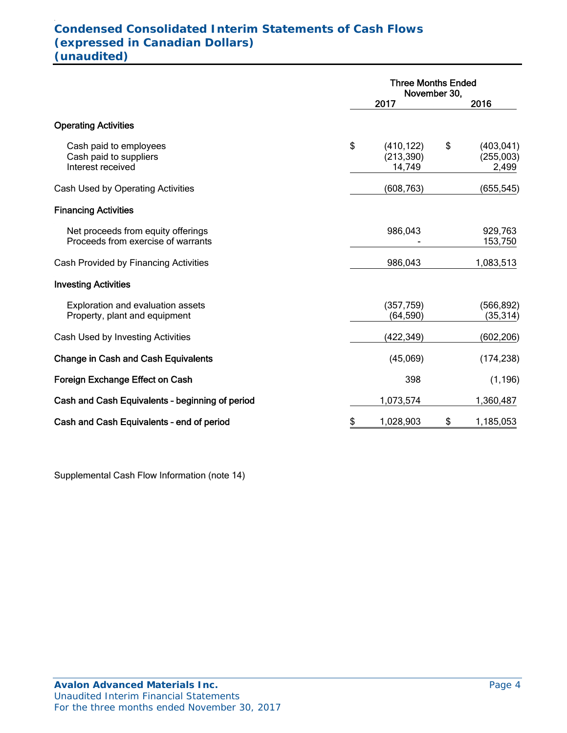#### . **Condensed Consolidated Interim Statements of Cash Flows (expressed in Canadian Dollars) (unaudited)**

|                                                                          | <b>Three Months Ended</b><br>November 30, |    |                                  |  |
|--------------------------------------------------------------------------|-------------------------------------------|----|----------------------------------|--|
|                                                                          | 2017                                      |    | 2016                             |  |
| <b>Operating Activities</b>                                              |                                           |    |                                  |  |
| Cash paid to employees<br>Cash paid to suppliers<br>Interest received    | \$<br>(410, 122)<br>(213, 390)<br>14,749  | \$ | (403, 041)<br>(255,003)<br>2,499 |  |
| Cash Used by Operating Activities                                        | (608, 763)                                |    | (655,545)                        |  |
| <b>Financing Activities</b>                                              |                                           |    |                                  |  |
| Net proceeds from equity offerings<br>Proceeds from exercise of warrants | 986,043                                   |    | 929,763<br>153,750               |  |
| Cash Provided by Financing Activities                                    | 986,043                                   |    | 1,083,513                        |  |
| <b>Investing Activities</b>                                              |                                           |    |                                  |  |
| Exploration and evaluation assets<br>Property, plant and equipment       | (357, 759)<br>(64, 590)                   |    | (566, 892)<br>(35, 314)          |  |
| Cash Used by Investing Activities                                        | (422,349)                                 |    | (602,206)                        |  |
| <b>Change in Cash and Cash Equivalents</b>                               | (45,069)                                  |    | (174, 238)                       |  |
| Foreign Exchange Effect on Cash                                          | 398                                       |    | (1, 196)                         |  |
| Cash and Cash Equivalents - beginning of period                          | 1,073,574                                 |    | 1,360,487                        |  |
| Cash and Cash Equivalents - end of period                                | \$<br>1,028,903                           | \$ | 1,185,053                        |  |

Supplemental Cash Flow Information (note 14)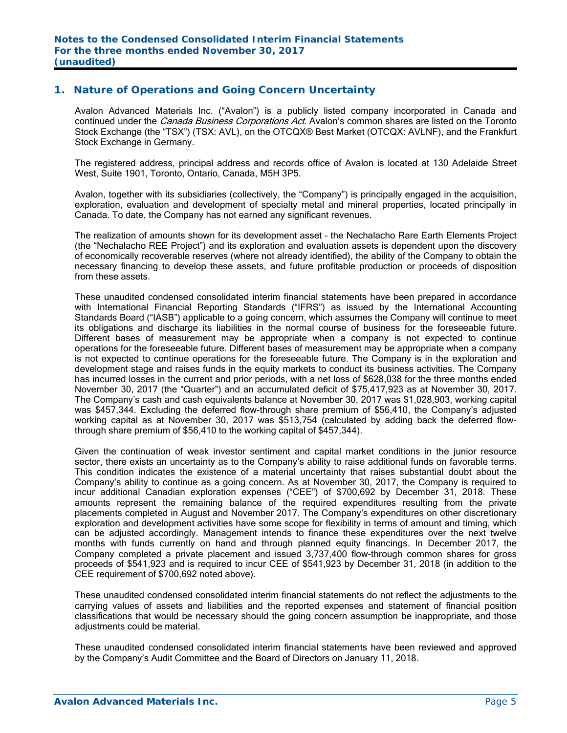## **1. Nature of Operations and Going Concern Uncertainty**

Avalon Advanced Materials Inc. ("Avalon") is a publicly listed company incorporated in Canada and continued under the *Canada Business Corporations Act*. Avalon's common shares are listed on the Toronto Stock Exchange (the "TSX") (TSX: AVL), on the OTCQX® Best Market (OTCQX: AVLNF), and the Frankfurt Stock Exchange in Germany.

The registered address, principal address and records office of Avalon is located at 130 Adelaide Street West, Suite 1901, Toronto, Ontario, Canada, M5H 3P5.

Avalon, together with its subsidiaries (collectively, the "Company") is principally engaged in the acquisition, exploration, evaluation and development of specialty metal and mineral properties, located principally in Canada. To date, the Company has not earned any significant revenues.

The realization of amounts shown for its development asset – the Nechalacho Rare Earth Elements Project (the "Nechalacho REE Project") and its exploration and evaluation assets is dependent upon the discovery of economically recoverable reserves (where not already identified), the ability of the Company to obtain the necessary financing to develop these assets, and future profitable production or proceeds of disposition from these assets.

These unaudited condensed consolidated interim financial statements have been prepared in accordance with International Financial Reporting Standards ("IFRS") as issued by the International Accounting Standards Board ("IASB") applicable to a going concern, which assumes the Company will continue to meet its obligations and discharge its liabilities in the normal course of business for the foreseeable future. Different bases of measurement may be appropriate when a company is not expected to continue operations for the foreseeable future. Different bases of measurement may be appropriate when a company is not expected to continue operations for the foreseeable future. The Company is in the exploration and development stage and raises funds in the equity markets to conduct its business activities. The Company has incurred losses in the current and prior periods, with a net loss of \$628,038 for the three months ended November 30, 2017 (the "Quarter") and an accumulated deficit of \$75,417,923 as at November 30, 2017. The Company's cash and cash equivalents balance at November 30, 2017 was \$1,028,903, working capital was \$457,344. Excluding the deferred flow-through share premium of \$56,410, the Company's adjusted working capital as at November 30, 2017 was \$513,754 (calculated by adding back the deferred flowthrough share premium of \$56,410 to the working capital of \$457,344).

Given the continuation of weak investor sentiment and capital market conditions in the junior resource sector, there exists an uncertainty as to the Company's ability to raise additional funds on favorable terms. This condition indicates the existence of a material uncertainty that raises substantial doubt about the Company's ability to continue as a going concern. As at November 30, 2017, the Company is required to incur additional Canadian exploration expenses ("CEE") of \$700,692 by December 31, 2018. These amounts represent the remaining balance of the required expenditures resulting from the private placements completed in August and November 2017. The Company's expenditures on other discretionary exploration and development activities have some scope for flexibility in terms of amount and timing, which can be adjusted accordingly. Management intends to finance these expenditures over the next twelve months with funds currently on hand and through planned equity financings. In December 2017, the Company completed a private placement and issued 3,737,400 flow-through common shares for gross proceeds of \$541,923 and is required to incur CEE of \$541,923 by December 31, 2018 (in addition to the CEE requirement of \$700,692 noted above).

These unaudited condensed consolidated interim financial statements do not reflect the adjustments to the carrying values of assets and liabilities and the reported expenses and statement of financial position classifications that would be necessary should the going concern assumption be inappropriate, and those adjustments could be material.

These unaudited condensed consolidated interim financial statements have been reviewed and approved by the Company's Audit Committee and the Board of Directors on January 11, 2018.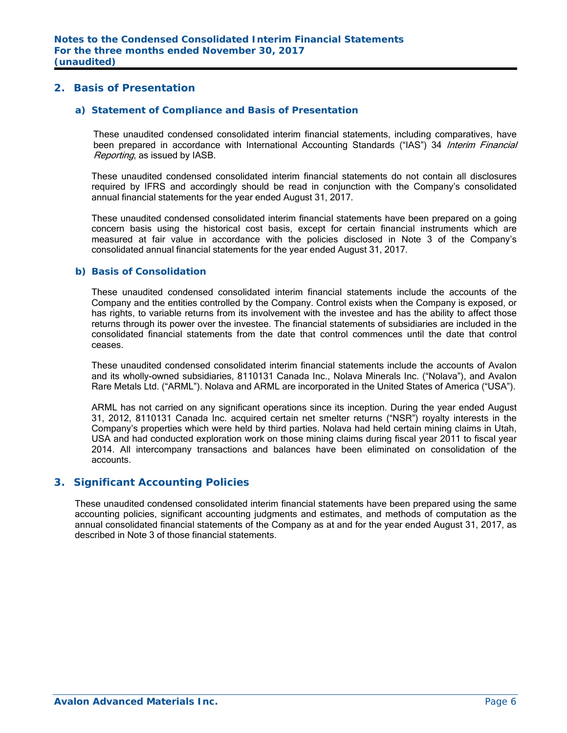# **2. Basis of Presentation**

#### *a) Statement of Compliance and Basis of Presentation*

These unaudited condensed consolidated interim financial statements, including comparatives, have been prepared in accordance with International Accounting Standards ("IAS") 34 Interim Financial Reporting, as issued by IASB.

These unaudited condensed consolidated interim financial statements do not contain all disclosures required by IFRS and accordingly should be read in conjunction with the Company's consolidated annual financial statements for the year ended August 31, 2017.

These unaudited condensed consolidated interim financial statements have been prepared on a going concern basis using the historical cost basis, except for certain financial instruments which are measured at fair value in accordance with the policies disclosed in Note 3 of the Company's consolidated annual financial statements for the year ended August 31, 2017.

#### *b) Basis of Consolidation*

These unaudited condensed consolidated interim financial statements include the accounts of the Company and the entities controlled by the Company. Control exists when the Company is exposed, or has rights, to variable returns from its involvement with the investee and has the ability to affect those returns through its power over the investee. The financial statements of subsidiaries are included in the consolidated financial statements from the date that control commences until the date that control ceases.

These unaudited condensed consolidated interim financial statements include the accounts of Avalon and its wholly-owned subsidiaries, 8110131 Canada Inc., Nolava Minerals Inc. ("Nolava"), and Avalon Rare Metals Ltd. ("ARML"). Nolava and ARML are incorporated in the United States of America ("USA").

ARML has not carried on any significant operations since its inception. During the year ended August 31, 2012, 8110131 Canada Inc. acquired certain net smelter returns ("NSR") royalty interests in the Company's properties which were held by third parties. Nolava had held certain mining claims in Utah, USA and had conducted exploration work on those mining claims during fiscal year 2011 to fiscal year 2014. All intercompany transactions and balances have been eliminated on consolidation of the accounts.

#### **3. Significant Accounting Policies**

These unaudited condensed consolidated interim financial statements have been prepared using the same accounting policies, significant accounting judgments and estimates, and methods of computation as the annual consolidated financial statements of the Company as at and for the year ended August 31, 2017, as described in Note 3 of those financial statements.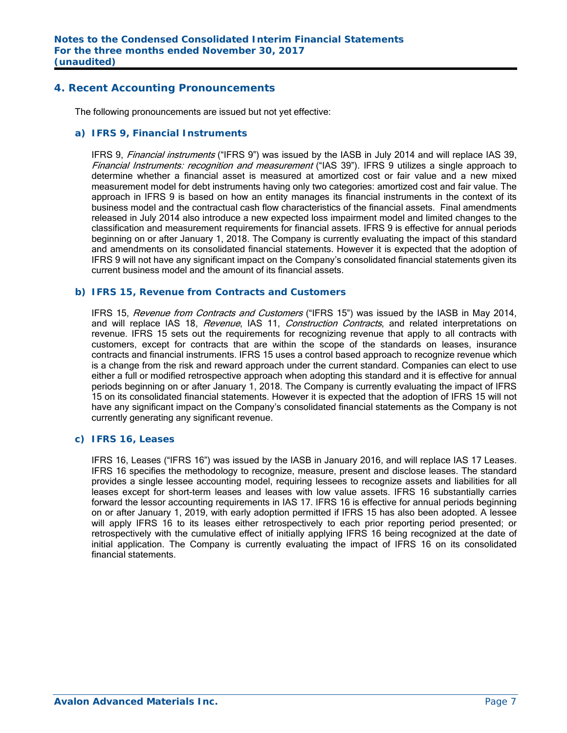### **4. Recent Accounting Pronouncements**

The following pronouncements are issued but not yet effective:

#### *a) IFRS 9, Financial Instruments*

IFRS 9, *Financial instruments* ("IFRS 9") was issued by the IASB in July 2014 and will replace IAS 39, Financial Instruments: recognition and measurement ("IAS 39"). IFRS 9 utilizes a single approach to determine whether a financial asset is measured at amortized cost or fair value and a new mixed measurement model for debt instruments having only two categories: amortized cost and fair value. The approach in IFRS 9 is based on how an entity manages its financial instruments in the context of its business model and the contractual cash flow characteristics of the financial assets. Final amendments released in July 2014 also introduce a new expected loss impairment model and limited changes to the classification and measurement requirements for financial assets. IFRS 9 is effective for annual periods beginning on or after January 1, 2018. The Company is currently evaluating the impact of this standard and amendments on its consolidated financial statements. However it is expected that the adoption of IFRS 9 will not have any significant impact on the Company's consolidated financial statements given its current business model and the amount of its financial assets.

#### *b) IFRS 15, Revenue from Contracts and Customers*

IFRS 15, Revenue from Contracts and Customers ("IFRS 15") was issued by the IASB in May 2014, and will replace IAS 18, Revenue, IAS 11, Construction Contracts, and related interpretations on revenue. IFRS 15 sets out the requirements for recognizing revenue that apply to all contracts with customers, except for contracts that are within the scope of the standards on leases, insurance contracts and financial instruments. IFRS 15 uses a control based approach to recognize revenue which is a change from the risk and reward approach under the current standard. Companies can elect to use either a full or modified retrospective approach when adopting this standard and it is effective for annual periods beginning on or after January 1, 2018. The Company is currently evaluating the impact of IFRS 15 on its consolidated financial statements. However it is expected that the adoption of IFRS 15 will not have any significant impact on the Company's consolidated financial statements as the Company is not currently generating any significant revenue.

#### *c) IFRS 16, Leases*

 IFRS 16, Leases ("IFRS 16") was issued by the IASB in January 2016, and will replace IAS 17 Leases. IFRS 16 specifies the methodology to recognize, measure, present and disclose leases. The standard provides a single lessee accounting model, requiring lessees to recognize assets and liabilities for all leases except for short-term leases and leases with low value assets. IFRS 16 substantially carries forward the lessor accounting requirements in IAS 17. IFRS 16 is effective for annual periods beginning on or after January 1, 2019, with early adoption permitted if IFRS 15 has also been adopted. A lessee will apply IFRS 16 to its leases either retrospectively to each prior reporting period presented; or retrospectively with the cumulative effect of initially applying IFRS 16 being recognized at the date of initial application. The Company is currently evaluating the impact of IFRS 16 on its consolidated financial statements.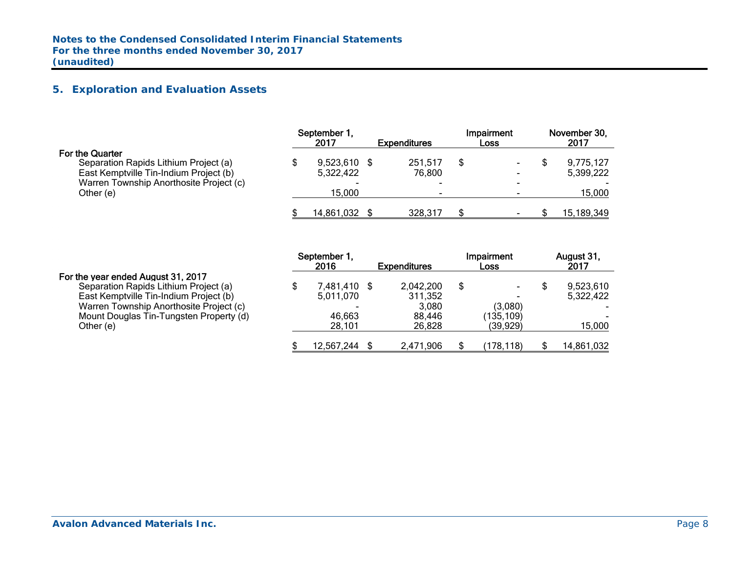# **5. Exploration and Evaluation Assets**

|                                                                                                                                                      | September 1,<br>2017      | <b>Expenditures</b> | Impairment<br>Loss | November 30,<br>2017   |
|------------------------------------------------------------------------------------------------------------------------------------------------------|---------------------------|---------------------|--------------------|------------------------|
| <b>For the Quarter</b><br>Separation Rapids Lithium Project (a)<br>East Kemptville Tin-Indium Project (b)<br>Warren Township Anorthosite Project (c) | 9,523,610 \$<br>5,322,422 | 251.517<br>76,800   |                    | 9,775,127<br>5,399,222 |
| Other (e)                                                                                                                                            | 15.000<br>14,861,032      | 328,317             |                    | 15,000<br>15,189,349   |

|                                         | September 1,<br>2016 | <b>Expenditures</b> | Impairment<br><b>Loss</b> | August 31,<br>2017 |
|-----------------------------------------|----------------------|---------------------|---------------------------|--------------------|
| For the year ended August 31, 2017      |                      |                     |                           |                    |
| Separation Rapids Lithium Project (a)   | 7,481,410 \$         | 2,042,200           | \$                        | 9,523,610          |
| East Kemptville Tin-Indium Project (b)  | 5,011,070            | 311,352             |                           | 5.322.422          |
| Warren Township Anorthosite Project (c) |                      | 3.080               | (3,080)                   |                    |
| Mount Douglas Tin-Tungsten Property (d) | 46,663               | 88,446              | (135,109)                 |                    |
| Other (e)                               | 28,101               | 26.828              | (39.929)                  | 15,000             |
|                                         | 12,567,244           | 2,471,906           | (178.118)                 | 14,861,032         |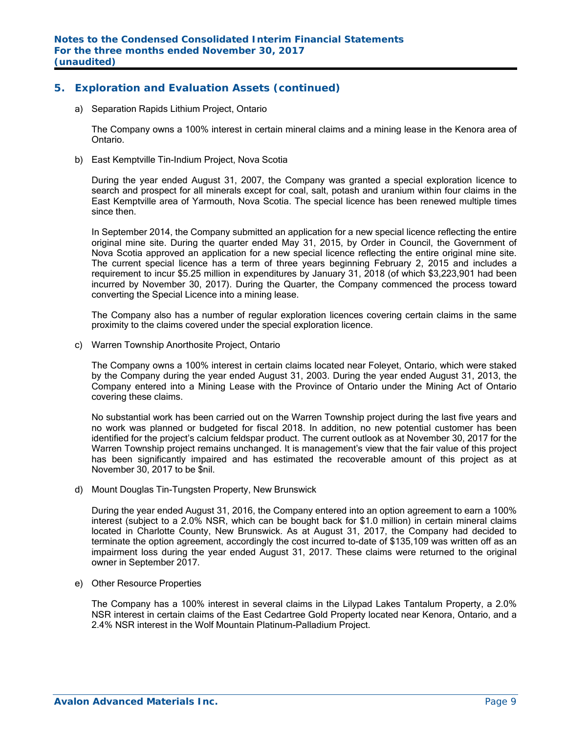# **5. Exploration and Evaluation Assets (continued)**

a) Separation Rapids Lithium Project, Ontario

The Company owns a 100% interest in certain mineral claims and a mining lease in the Kenora area of Ontario.

b) East Kemptville Tin-Indium Project, Nova Scotia

During the year ended August 31, 2007, the Company was granted a special exploration licence to search and prospect for all minerals except for coal, salt, potash and uranium within four claims in the East Kemptville area of Yarmouth, Nova Scotia. The special licence has been renewed multiple times since then.

In September 2014, the Company submitted an application for a new special licence reflecting the entire original mine site. During the quarter ended May 31, 2015, by Order in Council, the Government of Nova Scotia approved an application for a new special licence reflecting the entire original mine site. The current special licence has a term of three years beginning February 2, 2015 and includes a requirement to incur \$5.25 million in expenditures by January 31, 2018 (of which \$3,223,901 had been incurred by November 30, 2017). During the Quarter, the Company commenced the process toward converting the Special Licence into a mining lease.

The Company also has a number of regular exploration licences covering certain claims in the same proximity to the claims covered under the special exploration licence.

c) Warren Township Anorthosite Project, Ontario

The Company owns a 100% interest in certain claims located near Foleyet, Ontario, which were staked by the Company during the year ended August 31, 2003. During the year ended August 31, 2013, the Company entered into a Mining Lease with the Province of Ontario under the Mining Act of Ontario covering these claims.

No substantial work has been carried out on the Warren Township project during the last five years and no work was planned or budgeted for fiscal 2018. In addition, no new potential customer has been identified for the project's calcium feldspar product. The current outlook as at November 30, 2017 for the Warren Township project remains unchanged. It is management's view that the fair value of this project has been significantly impaired and has estimated the recoverable amount of this project as at November 30, 2017 to be \$nil.

d) Mount Douglas Tin-Tungsten Property, New Brunswick

During the year ended August 31, 2016, the Company entered into an option agreement to earn a 100% interest (subject to a 2.0% NSR, which can be bought back for \$1.0 million) in certain mineral claims located in Charlotte County, New Brunswick. As at August 31, 2017, the Company had decided to terminate the option agreement, accordingly the cost incurred to-date of \$135,109 was written off as an impairment loss during the year ended August 31, 2017. These claims were returned to the original owner in September 2017.

e) Other Resource Properties

The Company has a 100% interest in several claims in the Lilypad Lakes Tantalum Property, a 2.0% NSR interest in certain claims of the East Cedartree Gold Property located near Kenora, Ontario, and a 2.4% NSR interest in the Wolf Mountain Platinum-Palladium Project.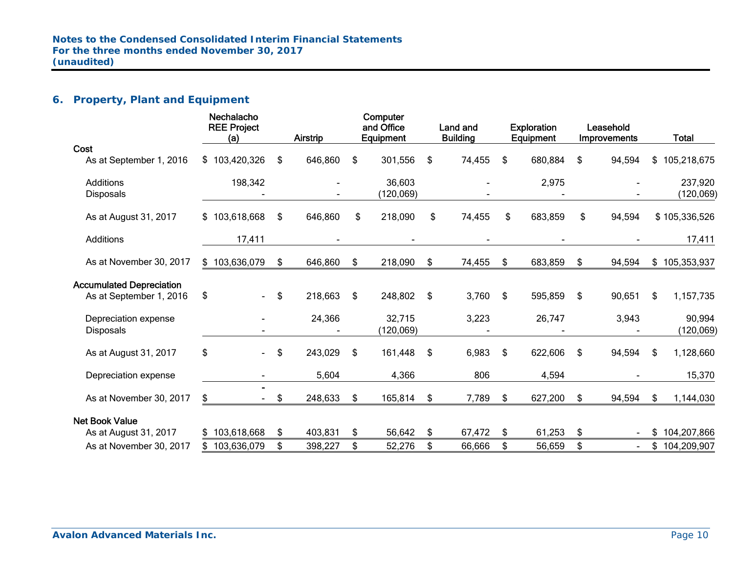# **6. Property, Plant and Equipment**

|                                 | <b>Nechalacho</b><br><b>REE Project</b><br>(a) | Airstrip      | Computer<br>and Office<br>Equipment | Land and<br><b>Building</b> |     | <b>Exploration</b><br><b>Equipment</b> | Leasehold<br>Improvements | <b>Total</b>      |
|---------------------------------|------------------------------------------------|---------------|-------------------------------------|-----------------------------|-----|----------------------------------------|---------------------------|-------------------|
| Cost                            |                                                |               |                                     |                             |     |                                        |                           |                   |
| As at September 1, 2016         | \$103,420,326                                  | \$<br>646,860 | \$<br>301,556                       | \$<br>74,455                | \$  | 680,884                                | \$<br>94,594              | \$<br>105,218,675 |
| Additions                       | 198,342                                        |               | 36,603                              |                             |     | 2,975                                  |                           | 237,920           |
| <b>Disposals</b>                |                                                |               | (120, 069)                          |                             |     |                                        |                           | (120, 069)        |
| As at August 31, 2017           | \$103,618,668                                  | \$<br>646,860 | \$<br>218,090                       | \$<br>74,455                | \$  | 683,859                                | \$<br>94,594              | \$105,336,526     |
| Additions                       | 17,411                                         |               |                                     |                             |     |                                        |                           | 17,411            |
| As at November 30, 2017         | \$103,636,079                                  | \$<br>646,860 | \$<br>218,090                       | \$<br>74,455                | \$  | 683,859                                | \$<br>94,594              | \$105,353,937     |
| <b>Accumulated Depreciation</b> |                                                |               |                                     |                             |     |                                        |                           |                   |
| As at September 1, 2016         | \$<br>$\blacksquare$                           | \$<br>218,663 | \$<br>248,802                       | \$<br>3,760                 | \$  | 595,859                                | \$<br>90,651              | \$<br>1,157,735   |
| Depreciation expense            |                                                | 24,366        | 32,715                              | 3,223                       |     | 26,747                                 | 3,943                     | 90,994            |
| <b>Disposals</b>                |                                                |               | (120,069)                           |                             |     |                                        |                           | (120, 069)        |
| As at August 31, 2017           | \$<br>$\blacksquare$                           | \$<br>243,029 | \$<br>161,448                       | \$<br>6,983                 | \$  | 622,606                                | \$<br>94,594              | \$<br>1,128,660   |
| Depreciation expense            |                                                | 5,604         | 4,366                               | 806                         |     | 4,594                                  |                           | 15,370            |
| As at November 30, 2017         | \$                                             | \$<br>248,633 | \$<br>165,814                       | \$<br>7,789                 | \$  | 627,200                                | \$<br>94,594              | \$<br>1,144,030   |
| <b>Net Book Value</b>           |                                                |               |                                     |                             |     |                                        |                           |                   |
| As at August 31, 2017           | \$103,618,668                                  | \$<br>403,831 | \$<br>56,642                        | \$<br>67,472                | -\$ | 61,253                                 | \$                        | \$<br>104,207,866 |
| As at November 30, 2017         | 103,636,079                                    | \$<br>398,227 | \$<br>52,276                        | \$<br>66,666                | \$  | 56,659                                 | \$                        | \$104,209,907     |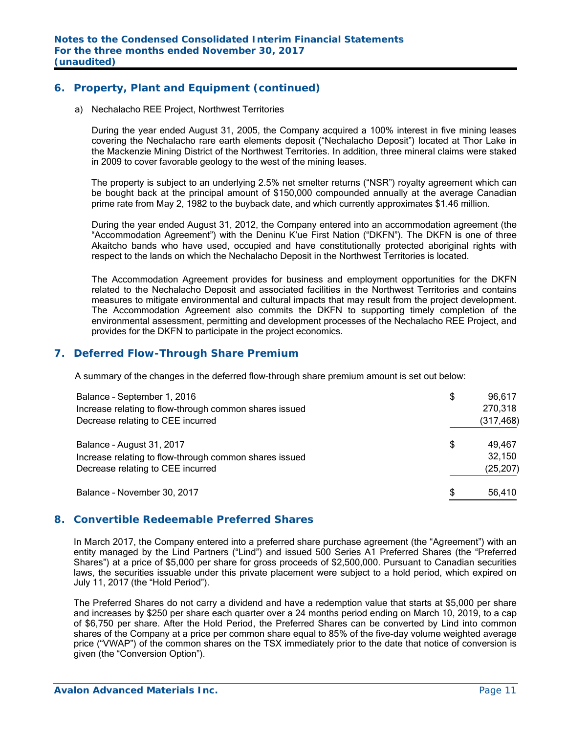# **6. Property, Plant and Equipment (continued)**

a) Nechalacho REE Project, Northwest Territories

During the year ended August 31, 2005, the Company acquired a 100% interest in five mining leases covering the Nechalacho rare earth elements deposit ("Nechalacho Deposit") located at Thor Lake in the Mackenzie Mining District of the Northwest Territories. In addition, three mineral claims were staked in 2009 to cover favorable geology to the west of the mining leases.

The property is subject to an underlying 2.5% net smelter returns ("NSR") royalty agreement which can be bought back at the principal amount of \$150,000 compounded annually at the average Canadian prime rate from May 2, 1982 to the buyback date, and which currently approximates \$1.46 million.

During the year ended August 31, 2012, the Company entered into an accommodation agreement (the "Accommodation Agreement") with the Deninu K'ue First Nation ("DKFN"). The DKFN is one of three Akaitcho bands who have used, occupied and have constitutionally protected aboriginal rights with respect to the lands on which the Nechalacho Deposit in the Northwest Territories is located.

The Accommodation Agreement provides for business and employment opportunities for the DKFN related to the Nechalacho Deposit and associated facilities in the Northwest Territories and contains measures to mitigate environmental and cultural impacts that may result from the project development. The Accommodation Agreement also commits the DKFN to supporting timely completion of the environmental assessment, permitting and development processes of the Nechalacho REE Project, and provides for the DKFN to participate in the project economics.

## **7. Deferred Flow-Through Share Premium**

A summary of the changes in the deferred flow-through share premium amount is set out below:

| Balance - September 1, 2016                            | \$<br>96,617 |
|--------------------------------------------------------|--------------|
| Increase relating to flow-through common shares issued | 270,318      |
| Decrease relating to CEE incurred                      | (317, 468)   |
| Balance - August 31, 2017                              | \$<br>49,467 |
| Increase relating to flow-through common shares issued | 32,150       |
| Decrease relating to CEE incurred                      | (25, 207)    |
| Balance - November 30, 2017                            | \$<br>56,410 |

## **8. Convertible Redeemable Preferred Shares**

In March 2017, the Company entered into a preferred share purchase agreement (the "Agreement") with an entity managed by the Lind Partners ("Lind") and issued 500 Series A1 Preferred Shares (the "Preferred Shares") at a price of \$5,000 per share for gross proceeds of \$2,500,000. Pursuant to Canadian securities laws, the securities issuable under this private placement were subject to a hold period, which expired on July 11, 2017 (the "Hold Period").

The Preferred Shares do not carry a dividend and have a redemption value that starts at \$5,000 per share and increases by \$250 per share each quarter over a 24 months period ending on March 10, 2019, to a cap of \$6,750 per share. After the Hold Period, the Preferred Shares can be converted by Lind into common shares of the Company at a price per common share equal to 85% of the five-day volume weighted average price ("VWAP") of the common shares on the TSX immediately prior to the date that notice of conversion is given (the "Conversion Option").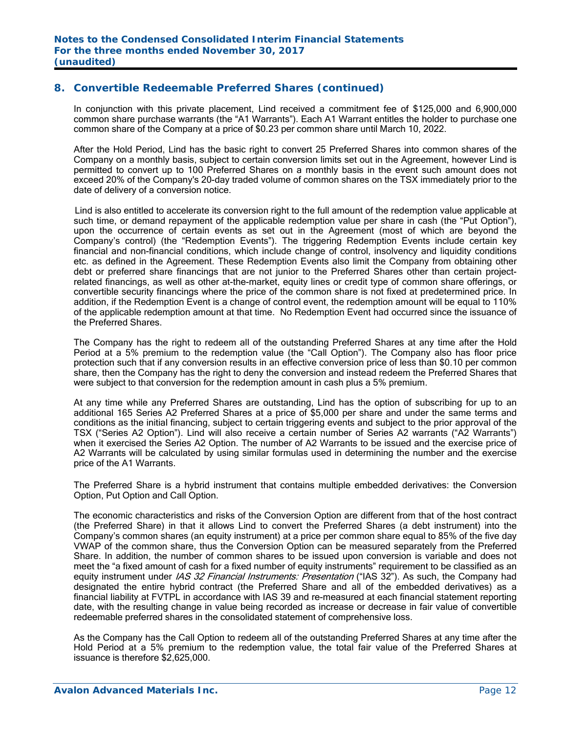# **8. Convertible Redeemable Preferred Shares (continued)**

In conjunction with this private placement, Lind received a commitment fee of \$125,000 and 6,900,000 common share purchase warrants (the "A1 Warrants"). Each A1 Warrant entitles the holder to purchase one common share of the Company at a price of \$0.23 per common share until March 10, 2022.

After the Hold Period, Lind has the basic right to convert 25 Preferred Shares into common shares of the Company on a monthly basis, subject to certain conversion limits set out in the Agreement, however Lind is permitted to convert up to 100 Preferred Shares on a monthly basis in the event such amount does not exceed 20% of the Company's 20-day traded volume of common shares on the TSX immediately prior to the date of delivery of a conversion notice.

 Lind is also entitled to accelerate its conversion right to the full amount of the redemption value applicable at such time, or demand repayment of the applicable redemption value per share in cash (the "Put Option"), upon the occurrence of certain events as set out in the Agreement (most of which are beyond the Company's control) (the "Redemption Events"). The triggering Redemption Events include certain key financial and non-financial conditions, which include change of control, insolvency and liquidity conditions etc. as defined in the Agreement. These Redemption Events also limit the Company from obtaining other debt or preferred share financings that are not junior to the Preferred Shares other than certain projectrelated financings, as well as other at-the-market, equity lines or credit type of common share offerings, or convertible security financings where the price of the common share is not fixed at predetermined price. In addition, if the Redemption Event is a change of control event, the redemption amount will be equal to 110% of the applicable redemption amount at that time. No Redemption Event had occurred since the issuance of the Preferred Shares.

The Company has the right to redeem all of the outstanding Preferred Shares at any time after the Hold Period at a 5% premium to the redemption value (the "Call Option"). The Company also has floor price protection such that if any conversion results in an effective conversion price of less than \$0.10 per common share, then the Company has the right to deny the conversion and instead redeem the Preferred Shares that were subject to that conversion for the redemption amount in cash plus a 5% premium.

At any time while any Preferred Shares are outstanding, Lind has the option of subscribing for up to an additional 165 Series A2 Preferred Shares at a price of \$5,000 per share and under the same terms and conditions as the initial financing, subject to certain triggering events and subject to the prior approval of the TSX ("Series A2 Option"). Lind will also receive a certain number of Series A2 warrants ("A2 Warrants") when it exercised the Series A2 Option. The number of A2 Warrants to be issued and the exercise price of A2 Warrants will be calculated by using similar formulas used in determining the number and the exercise price of the A1 Warrants.

The Preferred Share is a hybrid instrument that contains multiple embedded derivatives: the Conversion Option, Put Option and Call Option.

The economic characteristics and risks of the Conversion Option are different from that of the host contract (the Preferred Share) in that it allows Lind to convert the Preferred Shares (a debt instrument) into the Company's common shares (an equity instrument) at a price per common share equal to 85% of the five day VWAP of the common share, thus the Conversion Option can be measured separately from the Preferred Share. In addition, the number of common shares to be issued upon conversion is variable and does not meet the "a fixed amount of cash for a fixed number of equity instruments" requirement to be classified as an equity instrument under IAS 32 Financial Instruments: Presentation ("IAS 32"). As such, the Company had designated the entire hybrid contract (the Preferred Share and all of the embedded derivatives) as a financial liability at FVTPL in accordance with IAS 39 and re-measured at each financial statement reporting date, with the resulting change in value being recorded as increase or decrease in fair value of convertible redeemable preferred shares in the consolidated statement of comprehensive loss.

As the Company has the Call Option to redeem all of the outstanding Preferred Shares at any time after the Hold Period at a 5% premium to the redemption value, the total fair value of the Preferred Shares at issuance is therefore \$2,625,000.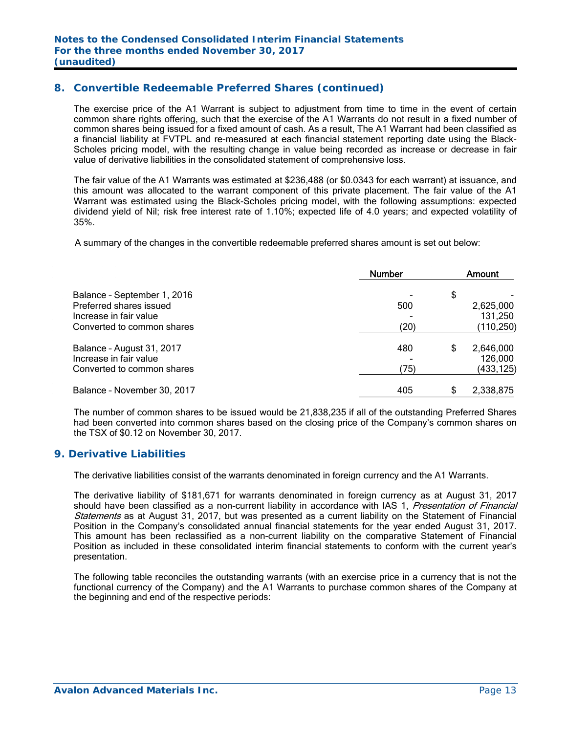# **8. Convertible Redeemable Preferred Shares (continued)**

The exercise price of the A1 Warrant is subject to adjustment from time to time in the event of certain common share rights offering, such that the exercise of the A1 Warrants do not result in a fixed number of common shares being issued for a fixed amount of cash. As a result, The A1 Warrant had been classified as a financial liability at FVTPL and re-measured at each financial statement reporting date using the Black-Scholes pricing model, with the resulting change in value being recorded as increase or decrease in fair value of derivative liabilities in the consolidated statement of comprehensive loss.

 The fair value of the A1 Warrants was estimated at \$236,488 (or \$0.0343 for each warrant) at issuance, and this amount was allocated to the warrant component of this private placement. The fair value of the A1 Warrant was estimated using the Black-Scholes pricing model, with the following assumptions: expected dividend yield of Nil; risk free interest rate of 1.10%; expected life of 4.0 years; and expected volatility of 35%.

A summary of the changes in the convertible redeemable preferred shares amount is set out below:

|                             | <b>Number</b> |    | Amount     |
|-----------------------------|---------------|----|------------|
| Balance - September 1, 2016 |               | \$ |            |
| Preferred shares issued     | 500           |    | 2,625,000  |
| Increase in fair value      |               |    | 131,250    |
| Converted to common shares  | (20)          |    | (110, 250) |
| Balance - August 31, 2017   | 480           | S  | 2,646,000  |
| Increase in fair value      |               |    | 126,000    |
| Converted to common shares  | (75)          |    | (433,125)  |
| Balance - November 30, 2017 | 405           |    | 2,338,875  |

The number of common shares to be issued would be 21,838,235 if all of the outstanding Preferred Shares had been converted into common shares based on the closing price of the Company's common shares on the TSX of \$0.12 on November 30, 2017.

#### **9. Derivative Liabilities**

The derivative liabilities consist of the warrants denominated in foreign currency and the A1 Warrants.

The derivative liability of \$181,671 for warrants denominated in foreign currency as at August 31, 2017 should have been classified as a non-current liability in accordance with IAS 1, *Presentation of Financial* Statements as at August 31, 2017, but was presented as a current liability on the Statement of Financial Position in the Company's consolidated annual financial statements for the year ended August 31, 2017. This amount has been reclassified as a non-current liability on the comparative Statement of Financial Position as included in these consolidated interim financial statements to conform with the current year's presentation.

The following table reconciles the outstanding warrants (with an exercise price in a currency that is not the functional currency of the Company) and the A1 Warrants to purchase common shares of the Company at the beginning and end of the respective periods: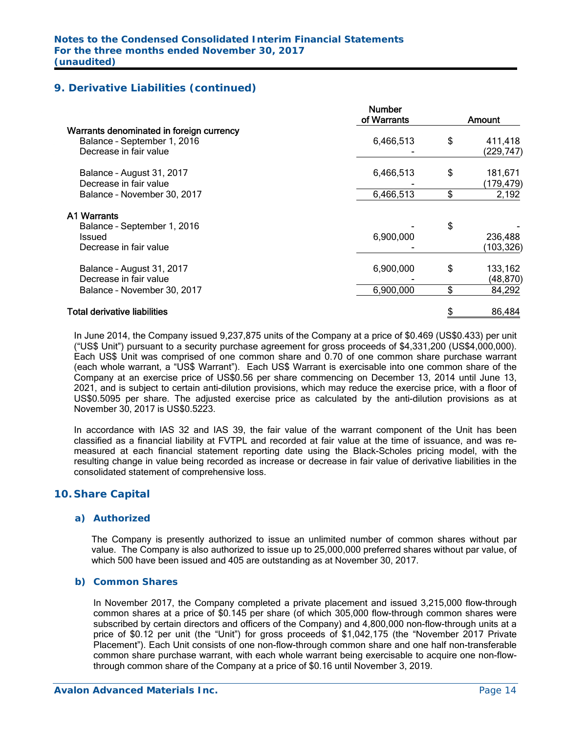## **9. Derivative Liabilities (continued)**

|                                                                                                   | <b>Number</b><br>of Warrants | Amount                     |
|---------------------------------------------------------------------------------------------------|------------------------------|----------------------------|
| Warrants denominated in foreign currency<br>Balance - September 1, 2016<br>Decrease in fair value | 6,466,513                    | \$<br>411,418<br>(229,747) |
| Balance - August 31, 2017<br>Decrease in fair value                                               | 6,466,513                    | \$<br>181,671<br>(179,479) |
| Balance - November 30, 2017                                                                       | 6,466,513                    | \$<br>2,192                |
| <b>A1 Warrants</b>                                                                                |                              |                            |
| Balance - September 1, 2016                                                                       |                              | \$                         |
| Issued<br>Decrease in fair value                                                                  | 6,900,000                    | 236,488<br>(103, 326)      |
| Balance - August 31, 2017<br>Decrease in fair value                                               | 6,900,000                    | \$<br>133,162<br>(48, 870) |
| Balance - November 30, 2017                                                                       | 6,900,000                    | \$<br>84,292               |
| <b>Total derivative liabilities</b>                                                               |                              | 86,484                     |
|                                                                                                   |                              |                            |

In June 2014, the Company issued 9,237,875 units of the Company at a price of \$0.469 (US\$0.433) per unit ("US\$ Unit") pursuant to a security purchase agreement for gross proceeds of \$4,331,200 (US\$4,000,000). Each US\$ Unit was comprised of one common share and 0.70 of one common share purchase warrant (each whole warrant, a "US\$ Warrant"). Each US\$ Warrant is exercisable into one common share of the Company at an exercise price of US\$0.56 per share commencing on December 13, 2014 until June 13, 2021, and is subject to certain anti-dilution provisions, which may reduce the exercise price, with a floor of US\$0.5095 per share. The adjusted exercise price as calculated by the anti-dilution provisions as at November 30, 2017 is US\$0.5223.

In accordance with IAS 32 and IAS 39, the fair value of the warrant component of the Unit has been classified as a financial liability at FVTPL and recorded at fair value at the time of issuance, and was remeasured at each financial statement reporting date using the Black-Scholes pricing model, with the resulting change in value being recorded as increase or decrease in fair value of derivative liabilities in the consolidated statement of comprehensive loss.

## **10. Share Capital**

#### *a) Authorized*

The Company is presently authorized to issue an unlimited number of common shares without par value. The Company is also authorized to issue up to 25,000,000 preferred shares without par value, of which 500 have been issued and 405 are outstanding as at November 30, 2017.

#### *b) Common Shares*

In November 2017, the Company completed a private placement and issued 3,215,000 flow-through common shares at a price of \$0.145 per share (of which 305,000 flow-through common shares were subscribed by certain directors and officers of the Company) and 4,800,000 non-flow-through units at a price of \$0.12 per unit (the "Unit") for gross proceeds of \$1,042,175 (the "November 2017 Private Placement"). Each Unit consists of one non-flow-through common share and one half non-transferable common share purchase warrant, with each whole warrant being exercisable to acquire one non-flowthrough common share of the Company at a price of \$0.16 until November 3, 2019.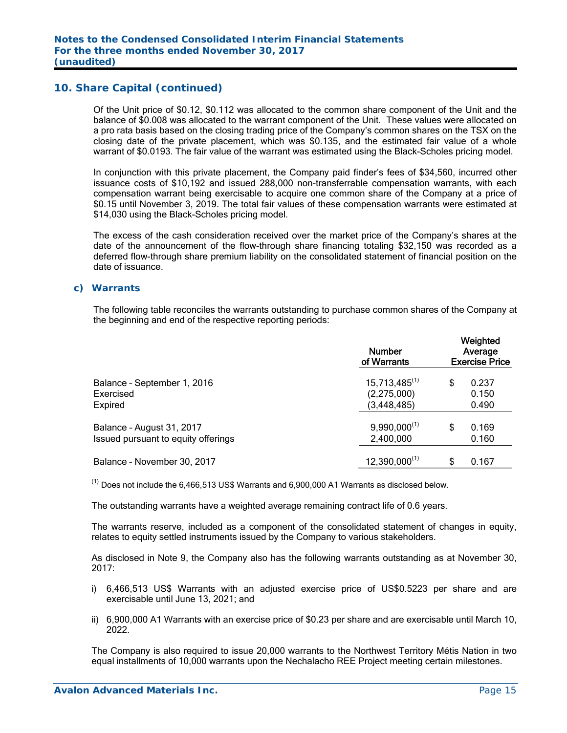Of the Unit price of \$0.12, \$0.112 was allocated to the common share component of the Unit and the balance of \$0.008 was allocated to the warrant component of the Unit. These values were allocated on a pro rata basis based on the closing trading price of the Company's common shares on the TSX on the closing date of the private placement, which was \$0.135, and the estimated fair value of a whole warrant of \$0.0193. The fair value of the warrant was estimated using the Black-Scholes pricing model.

In conjunction with this private placement, the Company paid finder's fees of \$34,560, incurred other issuance costs of \$10,192 and issued 288,000 non-transferrable compensation warrants, with each compensation warrant being exercisable to acquire one common share of the Company at a price of \$0.15 until November 3, 2019. The total fair values of these compensation warrants were estimated at \$14,030 using the Black-Scholes pricing model.

The excess of the cash consideration received over the market price of the Company's shares at the date of the announcement of the flow-through share financing totaling \$32,150 was recorded as a deferred flow-through share premium liability on the consolidated statement of financial position on the date of issuance.

#### *c) Warrants*

The following table reconciles the warrants outstanding to purchase common shares of the Company at the beginning and end of the respective reporting periods:

|                                     | <b>Number</b><br>of Warrants |    | Weighted<br>Average<br><b>Exercise Price</b> |
|-------------------------------------|------------------------------|----|----------------------------------------------|
| Balance - September 1, 2016         | $15,713,485^{(1)}$           | \$ | 0.237                                        |
| Exercised                           | (2,275,000)                  |    | 0.150                                        |
| Expired                             | (3, 448, 485)                |    | 0.490                                        |
| Balance - August 31, 2017           | $9,990,000^{(1)}$            | S  | 0.169                                        |
| Issued pursuant to equity offerings | 2,400,000                    |    | 0.160                                        |
| Balance - November 30, 2017         | $12,390,000^{(1)}$           | \$ | 0.167                                        |

 $<sup>(1)</sup>$  Does not include the 6,466,513 US\$ Warrants and 6,900,000 A1 Warrants as disclosed below.</sup>

The outstanding warrants have a weighted average remaining contract life of 0.6 years.

The warrants reserve, included as a component of the consolidated statement of changes in equity, relates to equity settled instruments issued by the Company to various stakeholders.

As disclosed in Note 9, the Company also has the following warrants outstanding as at November 30, 2017:

- i) 6,466,513 US\$ Warrants with an adjusted exercise price of US\$0.5223 per share and are exercisable until June 13, 2021; and
- ii) 6,900,000 A1 Warrants with an exercise price of \$0.23 per share and are exercisable until March 10, 2022.

The Company is also required to issue 20,000 warrants to the Northwest Territory Métis Nation in two equal installments of 10,000 warrants upon the Nechalacho REE Project meeting certain milestones.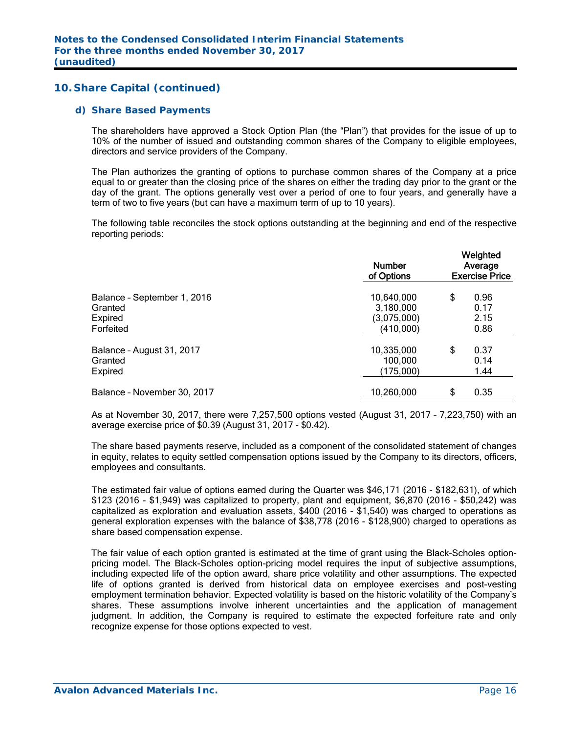#### *d) Share Based Payments*

The shareholders have approved a Stock Option Plan (the "Plan") that provides for the issue of up to 10% of the number of issued and outstanding common shares of the Company to eligible employees, directors and service providers of the Company.

The Plan authorizes the granting of options to purchase common shares of the Company at a price equal to or greater than the closing price of the shares on either the trading day prior to the grant or the day of the grant. The options generally vest over a period of one to four years, and generally have a term of two to five years (but can have a maximum term of up to 10 years).

The following table reconciles the stock options outstanding at the beginning and end of the respective reporting periods:

|                             | <b>Number</b><br>of Options | Weighted<br>Average<br><b>Exercise Price</b> |      |  |
|-----------------------------|-----------------------------|----------------------------------------------|------|--|
| Balance - September 1, 2016 | 10,640,000                  | \$                                           | 0.96 |  |
| Granted                     | 3,180,000                   |                                              | 0.17 |  |
| Expired                     | (3,075,000)                 |                                              | 2.15 |  |
| Forfeited                   | (410,000)                   |                                              | 0.86 |  |
| Balance - August 31, 2017   | 10,335,000                  | \$                                           | 0.37 |  |
| Granted                     | 100,000                     |                                              | 0.14 |  |
| <b>Expired</b>              | (175,000)                   |                                              | 1.44 |  |
| Balance - November 30, 2017 | 10,260,000                  | \$                                           | 0.35 |  |

As at November 30, 2017, there were 7,257,500 options vested (August 31, 2017 – 7,223,750) with an average exercise price of \$0.39 (August 31, 2017 - \$0.42).

The share based payments reserve, included as a component of the consolidated statement of changes in equity, relates to equity settled compensation options issued by the Company to its directors, officers, employees and consultants.

The estimated fair value of options earned during the Quarter was \$46,171 (2016 - \$182,631), of which \$123 (2016 - \$1,949) was capitalized to property, plant and equipment, \$6,870 (2016 - \$50,242) was capitalized as exploration and evaluation assets, \$400 (2016 - \$1,540) was charged to operations as general exploration expenses with the balance of \$38,778 (2016 - \$128,900) charged to operations as share based compensation expense.

The fair value of each option granted is estimated at the time of grant using the Black-Scholes optionpricing model. The Black-Scholes option-pricing model requires the input of subjective assumptions, including expected life of the option award, share price volatility and other assumptions. The expected life of options granted is derived from historical data on employee exercises and post-vesting employment termination behavior. Expected volatility is based on the historic volatility of the Company's shares. These assumptions involve inherent uncertainties and the application of management judgment. In addition, the Company is required to estimate the expected forfeiture rate and only recognize expense for those options expected to vest.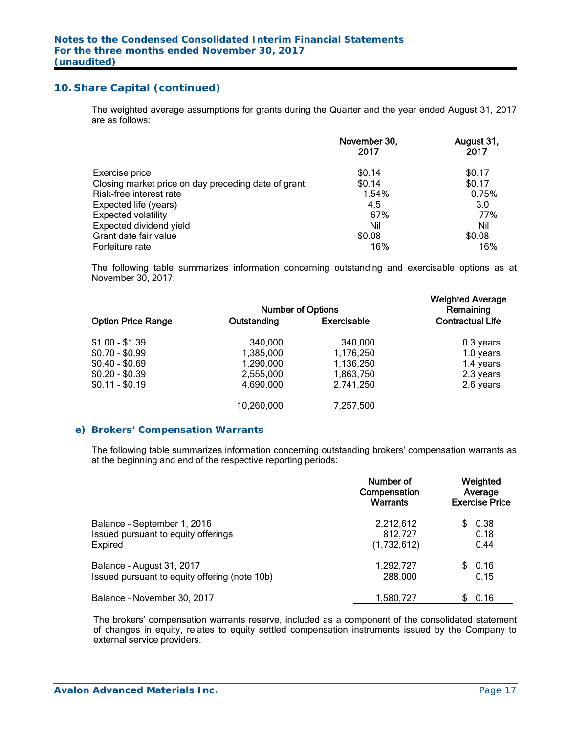The weighted average assumptions for grants during the Quarter and the year ended August 31, 2017 are as follows:

|                                                     | November 30,<br>2017 | August 31,<br>2017 |
|-----------------------------------------------------|----------------------|--------------------|
| Exercise price                                      | \$0.14               | \$0.17             |
| Closing market price on day preceding date of grant | \$0.14               | \$0.17             |
| Risk-free interest rate                             | 1.54%                | 0.75%              |
| Expected life (years)                               | 4.5                  | 3.0                |
| <b>Expected volatility</b>                          | 67%                  | 77%                |
| Expected dividend yield                             | Nil                  | Nil                |
| Grant date fair value                               | \$0.08               | \$0.08             |
| Forfeiture rate                                     | 16%                  | 16%                |

The following table summarizes information concerning outstanding and exercisable options as at November 30, 2017:

|             |                    | <b>Weighted Average</b><br>Remaining |
|-------------|--------------------|--------------------------------------|
| Outstanding | <b>Exercisable</b> | <b>Contractual Life</b>              |
| 340,000     | 340,000            | 0.3 years                            |
| 1,385,000   | 1,176,250          | 1.0 years                            |
| 1,290,000   | 1,136,250          | 1.4 years                            |
| 2,555,000   | 1,863,750          | 2.3 years                            |
| 4,690,000   | 2,741,250          | 2.6 years                            |
| 10,260,000  | 7,257,500          |                                      |
|             |                    | <b>Number of Options</b>             |

#### *e) Brokers' Compensation Warrants*

The following table summarizes information concerning outstanding brokers' compensation warrants as at the beginning and end of the respective reporting periods:

|                                               | Number of<br>Compensation<br>Warrants | Weighted<br>Average<br><b>Exercise Price</b> |  |  |
|-----------------------------------------------|---------------------------------------|----------------------------------------------|--|--|
| Balance - September 1, 2016                   | 2,212,612                             | 0.38                                         |  |  |
| Issued pursuant to equity offerings           | 812,727                               | 0.18                                         |  |  |
| <b>Expired</b>                                | (1,732,612)                           | 0.44                                         |  |  |
| Balance - August 31, 2017                     | 1,292,727                             | 0.16                                         |  |  |
| Issued pursuant to equity offering (note 10b) | 288,000                               | 0.15                                         |  |  |
| Balance - November 30, 2017                   | 1,580,727                             | 0.16                                         |  |  |

The brokers' compensation warrants reserve, included as a component of the consolidated statement of changes in equity, relates to equity settled compensation instruments issued by the Company to external service providers.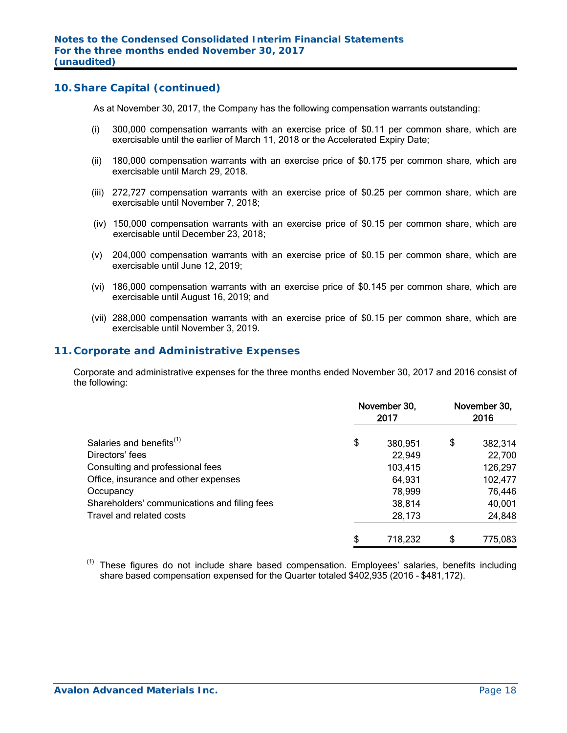As at November 30, 2017, the Company has the following compensation warrants outstanding:

- (i) 300,000 compensation warrants with an exercise price of \$0.11 per common share, which are exercisable until the earlier of March 11, 2018 or the Accelerated Expiry Date;
- (ii) 180,000 compensation warrants with an exercise price of \$0.175 per common share, which are exercisable until March 29, 2018.
- (iii) 272,727 compensation warrants with an exercise price of \$0.25 per common share, which are exercisable until November 7, 2018;
- (iv) 150,000 compensation warrants with an exercise price of \$0.15 per common share, which are exercisable until December 23, 2018;
- (v) 204,000 compensation warrants with an exercise price of \$0.15 per common share, which are exercisable until June 12, 2019;
- (vi) 186,000 compensation warrants with an exercise price of \$0.145 per common share, which are exercisable until August 16, 2019; and
- (vii) 288,000 compensation warrants with an exercise price of \$0.15 per common share, which are exercisable until November 3, 2019.

#### **11. Corporate and Administrative Expenses**

 Corporate and administrative expenses for the three months ended November 30, 2017 and 2016 consist of the following:

|                                              | November 30,<br>2017 | November 30,<br>2016 |         |  |
|----------------------------------------------|----------------------|----------------------|---------|--|
| Salaries and benefits <sup>(1)</sup>         | \$<br>380,951        | \$                   | 382,314 |  |
| Directors' fees                              | 22,949               |                      | 22,700  |  |
| Consulting and professional fees             | 103,415              |                      | 126,297 |  |
| Office, insurance and other expenses         | 64,931               |                      | 102,477 |  |
| Occupancy                                    | 78,999               |                      | 76,446  |  |
| Shareholders' communications and filing fees | 38,814               |                      | 40,001  |  |
| Travel and related costs                     | 28,173               |                      | 24,848  |  |
|                                              | \$<br>718,232        | \$                   | 775,083 |  |

<sup>(1)</sup> These figures do not include share based compensation. Employees' salaries, benefits including share based compensation expensed for the Quarter totaled \$402,935 (2016 – \$481,172).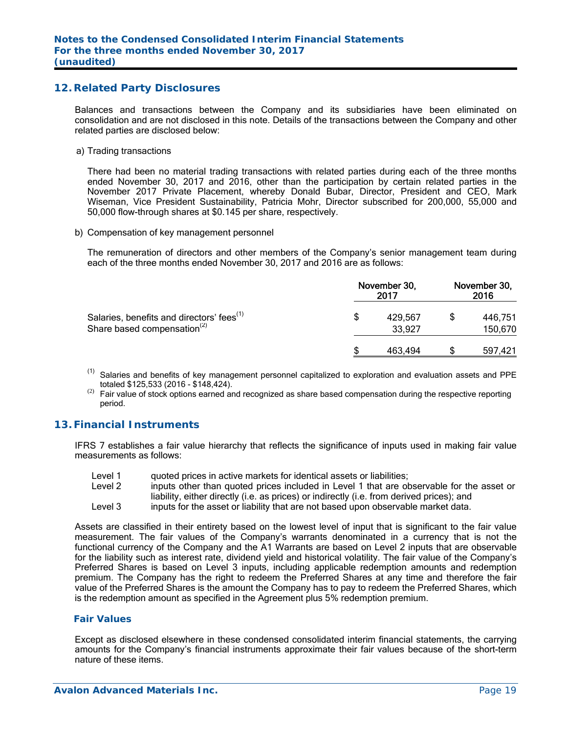#### **12. Related Party Disclosures**

Balances and transactions between the Company and its subsidiaries have been eliminated on consolidation and are not disclosed in this note. Details of the transactions between the Company and other related parties are disclosed below:

a) Trading transactions

There had been no material trading transactions with related parties during each of the three months ended November 30, 2017 and 2016, other than the participation by certain related parties in the November 2017 Private Placement, whereby Donald Bubar, Director, President and CEO, Mark Wiseman, Vice President Sustainability, Patricia Mohr, Director subscribed for 200,000, 55,000 and 50,000 flow-through shares at \$0.145 per share, respectively.

b) Compensation of key management personnel

The remuneration of directors and other members of the Company's senior management team during each of the three months ended November 30, 2017 and 2016 are as follows:

|                                                                                                  | November 30, | November 30,<br>2016 |  |                    |
|--------------------------------------------------------------------------------------------------|--------------|----------------------|--|--------------------|
| Salaries, benefits and directors' fees <sup>(1)</sup><br>Share based compensation <sup>(2)</sup> | S            | 429,567<br>33,927    |  | 446.751<br>150,670 |
|                                                                                                  |              | 463.494              |  | 597,421            |

- (1) Salaries and benefits of key management personnel capitalized to exploration and evaluation assets and PPE totaled \$125,533 (2016 - \$148,424).
- Fair value of stock options earned and recognized as share based compensation during the respective reporting period.

# **13. Financial Instruments**

IFRS 7 establishes a fair value hierarchy that reflects the significance of inputs used in making fair value measurements as follows:

- Level 1 guoted prices in active markets for identical assets or liabilities;
- Level 2 inputs other than quoted prices included in Level 1 that are observable for the asset or
- liability, either directly (i.e. as prices) or indirectly (i.e. from derived prices); and
- Level 3 inputs for the asset or liability that are not based upon observable market data.

Assets are classified in their entirety based on the lowest level of input that is significant to the fair value measurement. The fair values of the Company's warrants denominated in a currency that is not the functional currency of the Company and the A1 Warrants are based on Level 2 inputs that are observable for the liability such as interest rate, dividend yield and historical volatility. The fair value of the Company's Preferred Shares is based on Level 3 inputs, including applicable redemption amounts and redemption premium. The Company has the right to redeem the Preferred Shares at any time and therefore the fair value of the Preferred Shares is the amount the Company has to pay to redeem the Preferred Shares, which is the redemption amount as specified in the Agreement plus 5% redemption premium.

#### *Fair Values*

Except as disclosed elsewhere in these condensed consolidated interim financial statements, the carrying amounts for the Company's financial instruments approximate their fair values because of the short-term nature of these items.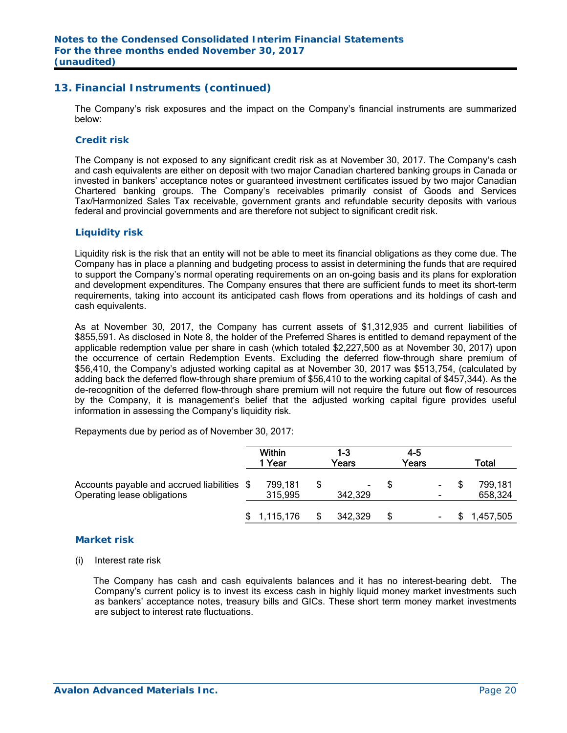## **13. Financial Instruments (continued)**

The Company's risk exposures and the impact on the Company's financial instruments are summarized below:

#### *Credit risk*

The Company is not exposed to any significant credit risk as at November 30, 2017. The Company's cash and cash equivalents are either on deposit with two major Canadian chartered banking groups in Canada or invested in bankers' acceptance notes or guaranteed investment certificates issued by two major Canadian Chartered banking groups. The Company's receivables primarily consist of Goods and Services Tax/Harmonized Sales Tax receivable, government grants and refundable security deposits with various federal and provincial governments and are therefore not subject to significant credit risk.

#### *Liquidity risk*

Liquidity risk is the risk that an entity will not be able to meet its financial obligations as they come due. The Company has in place a planning and budgeting process to assist in determining the funds that are required to support the Company's normal operating requirements on an on-going basis and its plans for exploration and development expenditures. The Company ensures that there are sufficient funds to meet its short-term requirements, taking into account its anticipated cash flows from operations and its holdings of cash and cash equivalents.

As at November 30, 2017, the Company has current assets of \$1,312,935 and current liabilities of \$855,591. As disclosed in Note 8, the holder of the Preferred Shares is entitled to demand repayment of the applicable redemption value per share in cash (which totaled \$2,227,500 as at November 30, 2017) upon the occurrence of certain Redemption Events. Excluding the deferred flow-through share premium of \$56,410, the Company's adjusted working capital as at November 30, 2017 was \$513,754, (calculated by adding back the deferred flow-through share premium of \$56,410 to the working capital of \$457,344). As the de-recognition of the deferred flow-through share premium will not require the future out flow of resources by the Company, it is management's belief that the adjusted working capital figure provides useful information in assessing the Company's liquidity risk.

Repayments due by period as of November 30, 2017:

|                                                                            | <b>Within</b><br>1 Year | 1-3<br>Years | $4 - 5$<br>Years     | Total              |
|----------------------------------------------------------------------------|-------------------------|--------------|----------------------|--------------------|
| Accounts payable and accrued liabilities \$<br>Operating lease obligations | 799,181<br>315,995      | 342,329      | \$<br>$\blacksquare$ | 799,181<br>658,324 |
|                                                                            | 1,115,176               | 342,329      | \$<br>۰              | ,457,505           |

#### *Market risk*

#### (i) Interest rate risk

 The Company has cash and cash equivalents balances and it has no interest-bearing debt. The Company's current policy is to invest its excess cash in highly liquid money market investments such as bankers' acceptance notes, treasury bills and GICs. These short term money market investments are subject to interest rate fluctuations.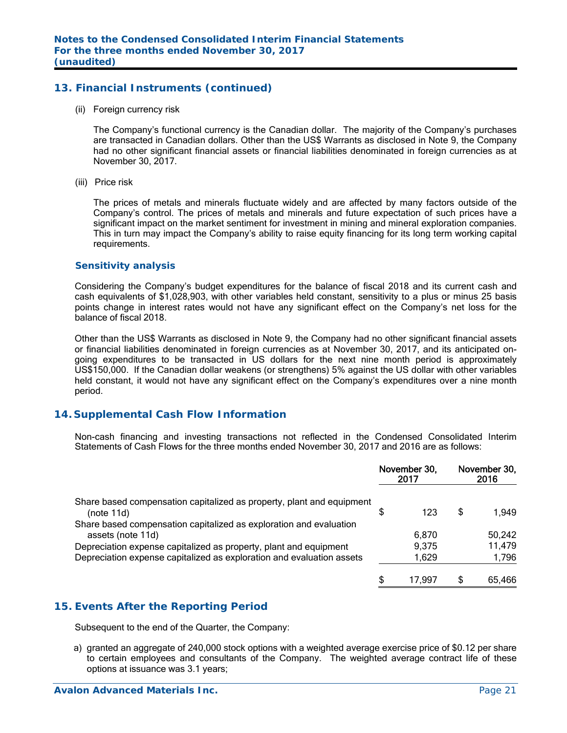# **13. Financial Instruments (continued)**

(ii) Foreign currency risk

 The Company's functional currency is the Canadian dollar. The majority of the Company's purchases are transacted in Canadian dollars. Other than the US\$ Warrants as disclosed in Note 9, the Company had no other significant financial assets or financial liabilities denominated in foreign currencies as at November 30, 2017.

(iii) Price risk

The prices of metals and minerals fluctuate widely and are affected by many factors outside of the Company's control. The prices of metals and minerals and future expectation of such prices have a significant impact on the market sentiment for investment in mining and mineral exploration companies. This in turn may impact the Company's ability to raise equity financing for its long term working capital requirements.

#### *Sensitivity analysis*

 Considering the Company's budget expenditures for the balance of fiscal 2018 and its current cash and cash equivalents of \$1,028,903, with other variables held constant, sensitivity to a plus or minus 25 basis points change in interest rates would not have any significant effect on the Company's net loss for the balance of fiscal 2018.

Other than the US\$ Warrants as disclosed in Note 9, the Company had no other significant financial assets or financial liabilities denominated in foreign currencies as at November 30, 2017, and its anticipated ongoing expenditures to be transacted in US dollars for the next nine month period is approximately US\$150,000. If the Canadian dollar weakens (or strengthens) 5% against the US dollar with other variables held constant, it would not have any significant effect on the Company's expenditures over a nine month period.

## **14. Supplemental Cash Flow Information**

Non-cash financing and investing transactions not reflected in the Condensed Consolidated Interim Statements of Cash Flows for the three months ended November 30, 2017 and 2016 are as follows:

|                                                                                         |   | November 30,<br>2017 | November 30,<br>2016 |        |
|-----------------------------------------------------------------------------------------|---|----------------------|----------------------|--------|
| Share based compensation capitalized as property, plant and equipment<br>(note 11d)     | S | 123                  | S                    | 1.949  |
| Share based compensation capitalized as exploration and evaluation<br>assets (note 11d) |   | 6.870                |                      | 50,242 |
| Depreciation expense capitalized as property, plant and equipment                       |   | 9,375                |                      | 11,479 |
| Depreciation expense capitalized as exploration and evaluation assets                   |   | 1,629                |                      | 1,796  |
|                                                                                         | S | 17.997               |                      | 65,466 |

#### **15. Events After the Reporting Period**

Subsequent to the end of the Quarter, the Company:

a) granted an aggregate of 240,000 stock options with a weighted average exercise price of \$0.12 per share to certain employees and consultants of the Company. The weighted average contract life of these options at issuance was 3.1 years;